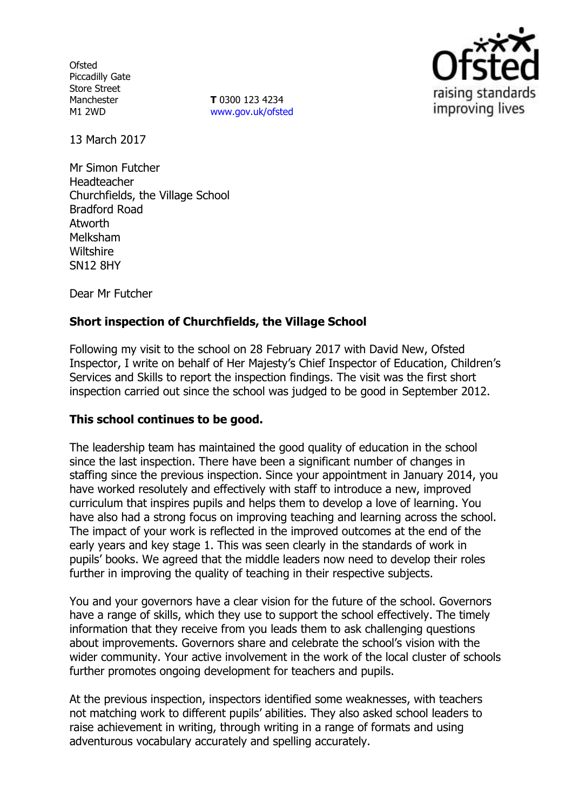**Ofsted** Piccadilly Gate Store Street Manchester M1 2WD

**T** 0300 123 4234 [www.gov.uk/ofsted](http://www.gov.uk/ofsted)



13 March 2017

Mr Simon Futcher Headteacher Churchfields, the Village School Bradford Road Atworth Melksham **Wiltshire** SN12 8HY

Dear Mr Futcher

# **Short inspection of Churchfields, the Village School**

Following my visit to the school on 28 February 2017 with David New, Ofsted Inspector, I write on behalf of Her Majesty's Chief Inspector of Education, Children's Services and Skills to report the inspection findings. The visit was the first short inspection carried out since the school was judged to be good in September 2012.

#### **This school continues to be good.**

The leadership team has maintained the good quality of education in the school since the last inspection. There have been a significant number of changes in staffing since the previous inspection. Since your appointment in January 2014, you have worked resolutely and effectively with staff to introduce a new, improved curriculum that inspires pupils and helps them to develop a love of learning. You have also had a strong focus on improving teaching and learning across the school. The impact of your work is reflected in the improved outcomes at the end of the early years and key stage 1. This was seen clearly in the standards of work in pupils' books. We agreed that the middle leaders now need to develop their roles further in improving the quality of teaching in their respective subjects.

You and your governors have a clear vision for the future of the school. Governors have a range of skills, which they use to support the school effectively. The timely information that they receive from you leads them to ask challenging questions about improvements. Governors share and celebrate the school's vision with the wider community. Your active involvement in the work of the local cluster of schools further promotes ongoing development for teachers and pupils.

At the previous inspection, inspectors identified some weaknesses, with teachers not matching work to different pupils' abilities. They also asked school leaders to raise achievement in writing, through writing in a range of formats and using adventurous vocabulary accurately and spelling accurately.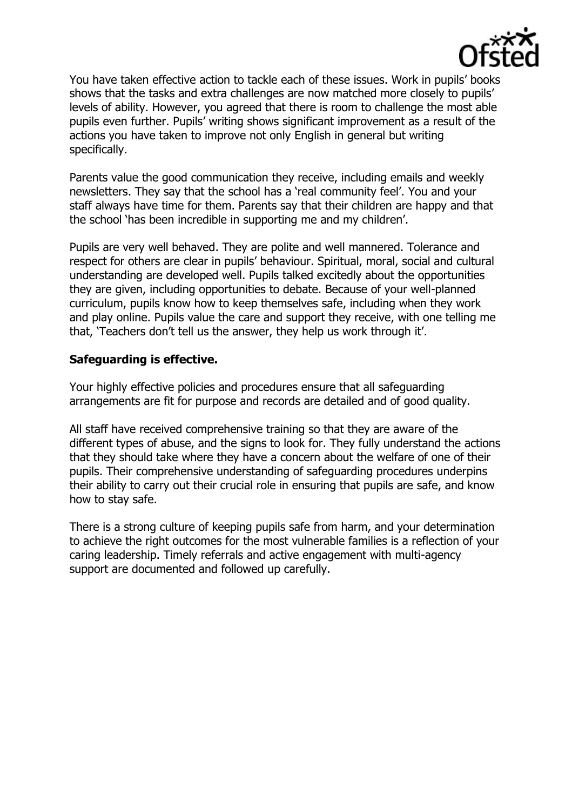

You have taken effective action to tackle each of these issues. Work in pupils' books shows that the tasks and extra challenges are now matched more closely to pupils' levels of ability. However, you agreed that there is room to challenge the most able pupils even further. Pupils' writing shows significant improvement as a result of the actions you have taken to improve not only English in general but writing specifically.

Parents value the good communication they receive, including emails and weekly newsletters. They say that the school has a 'real community feel'. You and your staff always have time for them. Parents say that their children are happy and that the school 'has been incredible in supporting me and my children'.

Pupils are very well behaved. They are polite and well mannered. Tolerance and respect for others are clear in pupils' behaviour. Spiritual, moral, social and cultural understanding are developed well. Pupils talked excitedly about the opportunities they are given, including opportunities to debate. Because of your well-planned curriculum, pupils know how to keep themselves safe, including when they work and play online. Pupils value the care and support they receive, with one telling me that, 'Teachers don't tell us the answer, they help us work through it'.

## **Safeguarding is effective.**

Your highly effective policies and procedures ensure that all safeguarding arrangements are fit for purpose and records are detailed and of good quality.

All staff have received comprehensive training so that they are aware of the different types of abuse, and the signs to look for. They fully understand the actions that they should take where they have a concern about the welfare of one of their pupils. Their comprehensive understanding of safeguarding procedures underpins their ability to carry out their crucial role in ensuring that pupils are safe, and know how to stay safe.

There is a strong culture of keeping pupils safe from harm, and your determination to achieve the right outcomes for the most vulnerable families is a reflection of your caring leadership. Timely referrals and active engagement with multi-agency support are documented and followed up carefully.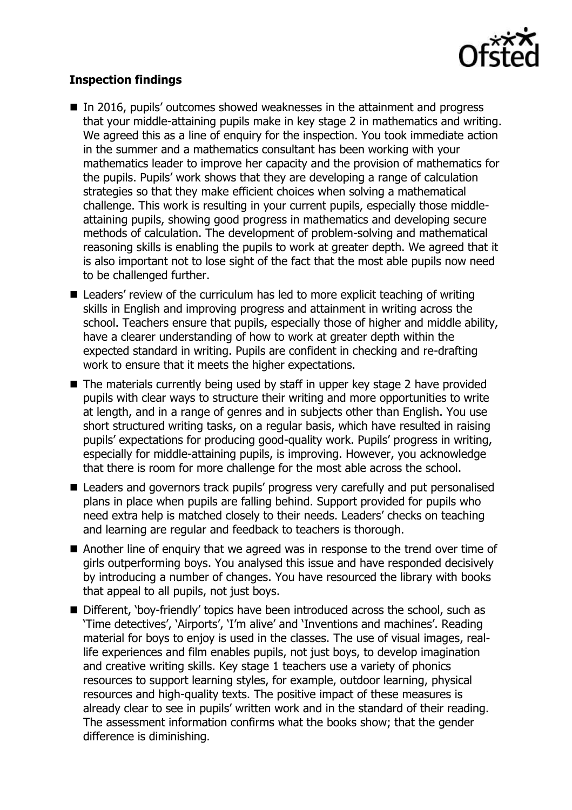

## **Inspection findings**

- In 2016, pupils' outcomes showed weaknesses in the attainment and progress that your middle-attaining pupils make in key stage 2 in mathematics and writing. We agreed this as a line of enguiry for the inspection. You took immediate action in the summer and a mathematics consultant has been working with your mathematics leader to improve her capacity and the provision of mathematics for the pupils. Pupils' work shows that they are developing a range of calculation strategies so that they make efficient choices when solving a mathematical challenge. This work is resulting in your current pupils, especially those middleattaining pupils, showing good progress in mathematics and developing secure methods of calculation. The development of problem-solving and mathematical reasoning skills is enabling the pupils to work at greater depth. We agreed that it is also important not to lose sight of the fact that the most able pupils now need to be challenged further.
- Leaders' review of the curriculum has led to more explicit teaching of writing skills in English and improving progress and attainment in writing across the school. Teachers ensure that pupils, especially those of higher and middle ability, have a clearer understanding of how to work at greater depth within the expected standard in writing. Pupils are confident in checking and re-drafting work to ensure that it meets the higher expectations.
- The materials currently being used by staff in upper key stage 2 have provided pupils with clear ways to structure their writing and more opportunities to write at length, and in a range of genres and in subjects other than English. You use short structured writing tasks, on a regular basis, which have resulted in raising pupils' expectations for producing good-quality work. Pupils' progress in writing, especially for middle-attaining pupils, is improving. However, you acknowledge that there is room for more challenge for the most able across the school.
- Leaders and governors track pupils' progress very carefully and put personalised plans in place when pupils are falling behind. Support provided for pupils who need extra help is matched closely to their needs. Leaders' checks on teaching and learning are regular and feedback to teachers is thorough.
- Another line of enquiry that we agreed was in response to the trend over time of girls outperforming boys. You analysed this issue and have responded decisively by introducing a number of changes. You have resourced the library with books that appeal to all pupils, not just boys.
- Different, 'boy-friendly' topics have been introduced across the school, such as 'Time detectives', 'Airports', 'I'm alive' and 'Inventions and machines'. Reading material for boys to enjoy is used in the classes. The use of visual images, reallife experiences and film enables pupils, not just boys, to develop imagination and creative writing skills. Key stage 1 teachers use a variety of phonics resources to support learning styles, for example, outdoor learning, physical resources and high-quality texts. The positive impact of these measures is already clear to see in pupils' written work and in the standard of their reading. The assessment information confirms what the books show; that the gender difference is diminishing.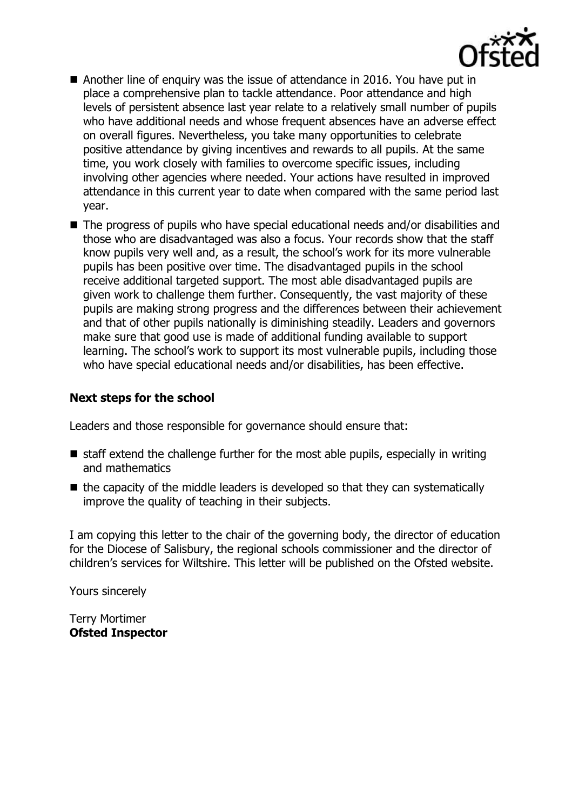

- Another line of enquiry was the issue of attendance in 2016. You have put in place a comprehensive plan to tackle attendance. Poor attendance and high levels of persistent absence last year relate to a relatively small number of pupils who have additional needs and whose frequent absences have an adverse effect on overall figures. Nevertheless, you take many opportunities to celebrate positive attendance by giving incentives and rewards to all pupils. At the same time, you work closely with families to overcome specific issues, including involving other agencies where needed. Your actions have resulted in improved attendance in this current year to date when compared with the same period last year.
- The progress of pupils who have special educational needs and/or disabilities and those who are disadvantaged was also a focus. Your records show that the staff know pupils very well and, as a result, the school's work for its more vulnerable pupils has been positive over time. The disadvantaged pupils in the school receive additional targeted support. The most able disadvantaged pupils are given work to challenge them further. Consequently, the vast majority of these pupils are making strong progress and the differences between their achievement and that of other pupils nationally is diminishing steadily. Leaders and governors make sure that good use is made of additional funding available to support learning. The school's work to support its most vulnerable pupils, including those who have special educational needs and/or disabilities, has been effective.

## **Next steps for the school**

Leaders and those responsible for governance should ensure that:

- $\blacksquare$  staff extend the challenge further for the most able pupils, especially in writing and mathematics
- $\blacksquare$  the capacity of the middle leaders is developed so that they can systematically improve the quality of teaching in their subjects.

I am copying this letter to the chair of the governing body, the director of education for the Diocese of Salisbury, the regional schools commissioner and the director of children's services for Wiltshire. This letter will be published on the Ofsted website.

Yours sincerely

Terry Mortimer **Ofsted Inspector**